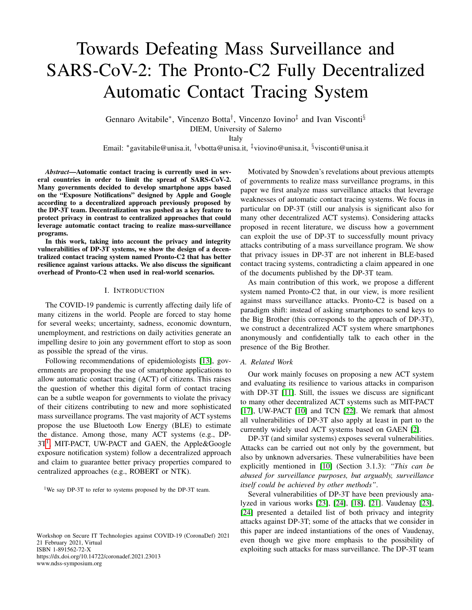# Towards Defeating Mass Surveillance and SARS-CoV-2: The Pronto-C2 Fully Decentralized Automatic Contact Tracing System

Gennaro Avitabile<sup>∗</sup> , Vincenzo Botta† , Vincenzo Iovino‡ and Ivan Visconti§ DIEM, University of Salerno

Italy

Email: <sup>∗</sup>gavitabile@unisa.it, †vbotta@unisa.it, ‡viovino@unisa.it, §visconti@unisa.it

*Abstract*—Automatic contact tracing is currently used in several countries in order to limit the spread of SARS-CoV-2. Many governments decided to develop smartphone apps based on the "Exposure Notifications" designed by Apple and Google according to a decentralized approach previously proposed by the DP-3T team. Decentralization was pushed as a key feature to protect privacy in contrast to centralized approaches that could leverage automatic contact tracing to realize mass-surveillance programs.

In this work, taking into account the privacy and integrity vulnerabilities of DP-3T systems, we show the design of a decentralized contact tracing system named Pronto-C2 that has better resilience against various attacks. We also discuss the significant overhead of Pronto-C2 when used in real-world scenarios.

#### I. INTRODUCTION

The COVID-19 pandemic is currently affecting daily life of many citizens in the world. People are forced to stay home for several weeks; uncertainty, sadness, economic downturn, unemployment, and restrictions on daily activities generate an impelling desire to join any government effort to stop as soon as possible the spread of the virus.

Following recommendations of epidemiologists [\[13\]](#page-7-0), governments are proposing the use of smartphone applications to allow automatic contact tracing (ACT) of citizens. This raises the question of whether this digital form of contact tracing can be a subtle weapon for governments to violate the privacy of their citizens contributing to new and more sophisticated mass surveillance programs. The vast majority of ACT systems propose the use Bluetooth Low Energy (BLE) to estimate the distance. Among those, many ACT systems (e.g., DP-3T<sup>[1](#page-0-0)</sup>, MIT-PACT, UW-PACT and GAEN, the Apple&Google exposure notification system) follow a decentralized approach and claim to guarantee better privacy properties compared to centralized approaches (e.g., ROBERT or NTK).

<span id="page-0-0"></span><sup>1</sup>We say DP-3T to refer to systems proposed by the DP-3T team.

Workshop on Secure IT Technologies against COVID-19 (CoronaDef) 2021 21 February 2021, Virtual ISBN 1-891562-72-X https://dx.doi.org/10.14722/coronadef.2021.23013 www.ndss-symposium.org

Motivated by Snowden's revelations about previous attempts of governments to realize mass surveillance programs, in this paper we first analyze mass surveillance attacks that leverage weaknesses of automatic contact tracing systems. We focus in particular on DP-3T (still our analysis is significant also for many other decentralized ACT systems). Considering attacks proposed in recent literature, we discuss how a government can exploit the use of DP-3T to successfully mount privacy attacks contributing of a mass surveillance program. We show that privacy issues in DP-3T are not inherent in BLE-based contact tracing systems, contradicting a claim appeared in one of the documents published by the DP-3T team.

As main contribution of this work, we propose a different system named Pronto-C2 that, in our view, is more resilient against mass surveillance attacks. Pronto-C2 is based on a paradigm shift: instead of asking smartphones to send keys to the Big Brother (this corresponds to the approach of DP-3T), we construct a decentralized ACT system where smartphones anonymously and confidentially talk to each other in the presence of the Big Brother.

#### *A. Related Work*

Our work mainly focuses on proposing a new ACT system and evaluating its resilience to various attacks in comparison with DP-3T [\[11\]](#page-7-1). Still, the issues we discuss are significant to many other decentralized ACT systems such as MIT-PACT [\[17\]](#page-7-2), UW-PACT [\[10\]](#page-7-3) and TCN [\[22\]](#page-7-4). We remark that almost all vulnerabilities of DP-3T also apply at least in part to the currently widely used ACT systems based on GAEN [\[2\]](#page-7-5).

DP-3T (and similar systems) exposes several vulnerabilities. Attacks can be carried out not only by the government, but also by unknown adversaries. These vulnerabilities have been explicitly mentioned in [\[10\]](#page-7-3) (Section 3.1.3): *"This can be abused for surveillance purposes, but arguably, surveillance itself could be achieved by other methods"*.

Several vulnerabilities of DP-3T have been previously analyzed in various works [\[23\]](#page-7-6), [\[24\]](#page-7-7), [\[18\]](#page-7-8), [\[21\]](#page-7-9). Vaudenay [\[23\]](#page-7-6), [\[24\]](#page-7-7) presented a detailed list of both privacy and integrity attacks against DP-3T; some of the attacks that we consider in this paper are indeed instantiations of the ones of Vaudenay, even though we give more emphasis to the possibility of exploiting such attacks for mass surveillance. The DP-3T team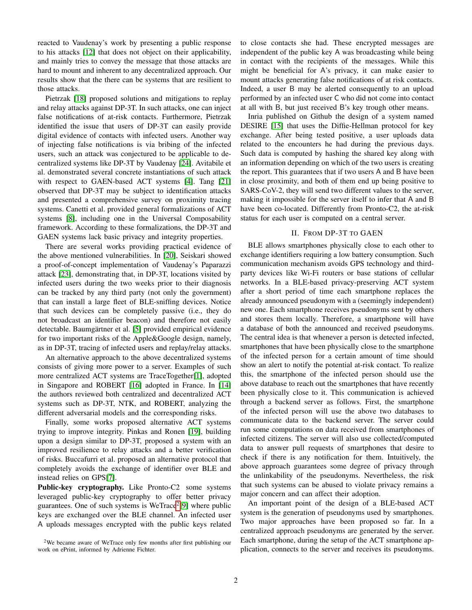reacted to Vaudenay's work by presenting a public response to his attacks [\[12\]](#page-7-10) that does not object on their applicability, and mainly tries to convey the message that those attacks are hard to mount and inherent to any decentralized approach. Our results show that the there can be systems that are resilient to those attacks.

Pietrzak [\[18\]](#page-7-8) proposed solutions and mitigations to replay and relay attacks against DP-3T. In such attacks, one can inject false notifications of at-risk contacts. Furthermore, Pietrzak identified the issue that users of DP-3T can easily provide digital evidence of contacts with infected users. Another way of injecting false notifications is via bribing of the infected users, such an attack was conjectured to be applicable to decentralized systems like DP-3T by Vaudenay [\[24\]](#page-7-7). Avitabile et al. demonstrated several concrete instantiations of such attack with respect to GAEN-based ACT systems [\[4\]](#page-7-11). Tang [\[21\]](#page-7-9) observed that DP-3T may be subject to identification attacks and presented a comprehensive survey on proximity tracing systems. Canetti et al. provided general formalizations of ACT systems [\[8\]](#page-7-12), including one in the Universal Composability framework. According to these formalizations, the DP-3T and GAEN systems lack basic privacy and integrity properties.

There are several works providing practical evidence of the above mentioned vulnerabilities. In [\[20\]](#page-7-13), Seiskari showed a proof-of-concept implementation of Vaudenay's Paparazzi attack [\[23\]](#page-7-6), demonstrating that, in DP-3T, locations visited by infected users during the two weeks prior to their diagnosis can be tracked by any third party (not only the government) that can install a large fleet of BLE-sniffing devices. Notice that such devices can be completely passive (i.e., they do not broadcast an identifier beacon) and therefore not easily detectable. Baumgärtner et al. [\[5\]](#page-7-14) provided empirical evidence for two important risks of the Apple&Google design, namely, as in DP-3T, tracing of infected users and replay/relay attacks.

An alternative approach to the above decentralized systems consists of giving more power to a server. Examples of such more centralized ACT systems are TraceTogether[\[1\]](#page-7-15), adopted in Singapore and ROBERT [\[16\]](#page-7-16) adopted in France. In [\[14\]](#page-7-17) the authors reviewed both centralized and decentralized ACT systems such as DP-3T, NTK, and ROBERT, analyzing the different adversarial models and the corresponding risks.

Finally, some works proposed alternative ACT systems trying to improve integrity. Pinkas and Ronen [\[19\]](#page-7-18), building upon a design similar to DP-3T, proposed a system with an improved resilience to relay attacks and a better verification of risks. Buccafurri et al. proposed an alternative protocol that completely avoids the exchange of identifier over BLE and instead relies on GPS[\[7\]](#page-7-19).

Public-key cryptography. Like Pronto-C2 some systems leveraged public-key cryptography to offer better privacy guarantees. One of such systems is WeTrace<sup>[2](#page-1-0)</sup>[\[9\]](#page-7-20) where public keys are exchanged over the BLE channel. An infected user A uploads messages encrypted with the public keys related

<span id="page-1-0"></span><sup>2</sup>We became aware of WeTrace only few months after first publishing our work on ePrint, informed by Adrienne Fichter.

to close contacts she had. These encrypted messages are independent of the public key A was broadcasting while being in contact with the recipients of the messages. While this might be beneficial for A's privacy, it can make easier to mount attacks generating false notifications of at risk contacts. Indeed, a user B may be alerted consequently to an upload performed by an infected user C who did not come into contact at all with B, but just received B's key trough other means.

Inria published on Github the design of a system named DESIRE [\[15\]](#page-7-21) that uses the Diffie-Hellman protocol for key exchange. After being tested positive, a user uploads data related to the encounters he had during the previous days. Such data is computed by hashing the shared key along with an information depending on which of the two users is creating the report. This guarantees that if two users A and B have been in close proximity, and both of them end up being positive to SARS-CoV-2, they will send two different values to the server, making it impossible for the server itself to infer that A and B have been co-located. Differently from Pronto-C2, the at-risk status for each user is computed on a central server.

## II. FROM DP-3T TO GAEN

BLE allows smartphones physically close to each other to exchange identifiers requiring a low battery consumption. Such communication mechanism avoids GPS technology and thirdparty devices like Wi-Fi routers or base stations of cellular networks. In a BLE-based privacy-preserving ACT system after a short period of time each smartphone replaces the already announced pseudonym with a (seemingly independent) new one. Each smartphone receives pseudonyms sent by others and stores them locally. Therefore, a smartphone will have a database of both the announced and received pseudonyms. The central idea is that whenever a person is detected infected, smartphones that have been physically close to the smartphone of the infected person for a certain amount of time should show an alert to notify the potential at-risk contact. To realize this, the smartphone of the infected person should use the above database to reach out the smartphones that have recently been physically close to it. This communication is achieved through a backend server as follows. First, the smartphone of the infected person will use the above two databases to communicate data to the backend server. The server could run some computations on data received from smartphones of infected citizens. The server will also use collected/computed data to answer pull requests of smartphones that desire to check if there is any notification for them. Intuitively, the above approach guarantees some degree of privacy through the unlinkability of the pseudonyms. Nevertheless, the risk that such systems can be abused to violate privacy remains a major concern and can affect their adoption.

An important point of the design of a BLE-based ACT system is the generation of pseudonyms used by smartphones. Two major approaches have been proposed so far. In a centralized approach pseudonyms are generated by the server. Each smartphone, during the setup of the ACT smartphone application, connects to the server and receives its pseudonyms.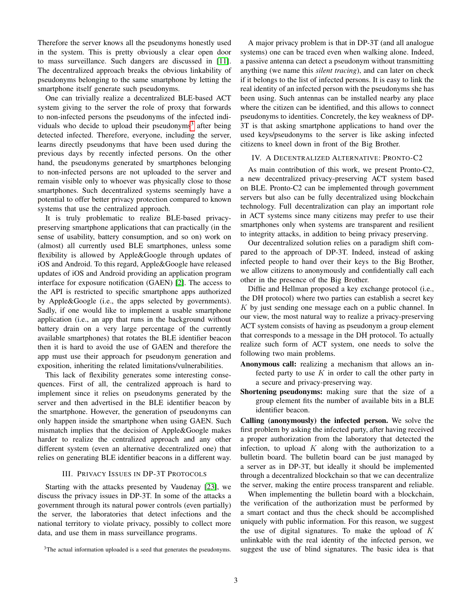Therefore the server knows all the pseudonyms honestly used in the system. This is pretty obviously a clear open door to mass surveillance. Such dangers are discussed in [\[11\]](#page-7-1). The decentralized approach breaks the obvious linkability of pseudonyms belonging to the same smartphone by letting the smartphone itself generate such pseudonyms.

One can trivially realize a decentralized BLE-based ACT system giving to the server the role of proxy that forwards to non-infected persons the pseudonyms of the infected indi-viduals who decide to upload their pseudonyms<sup>[3](#page-2-0)</sup> after being detected infected. Therefore, everyone, including the server, learns directly pseudonyms that have been used during the previous days by recently infected persons. On the other hand, the pseudonyms generated by smartphones belonging to non-infected persons are not uploaded to the server and remain visible only to whoever was physically close to those smartphones. Such decentralized systems seemingly have a potential to offer better privacy protection compared to known systems that use the centralized approach.

It is truly problematic to realize BLE-based privacypreserving smartphone applications that can practically (in the sense of usability, battery consumption, and so on) work on (almost) all currently used BLE smartphones, unless some flexibility is allowed by Apple&Google through updates of iOS and Android. To this regard, Apple&Google have released updates of iOS and Android providing an application program interface for exposure notification (GAEN) [\[2\]](#page-7-5). The access to the API is restricted to specific smartphone apps authorized by Apple&Google (i.e., the apps selected by governments). Sadly, if one would like to implement a usable smartphone application (i.e., an app that runs in the background without battery drain on a very large percentage of the currently available smartphones) that rotates the BLE identifier beacon then it is hard to avoid the use of GAEN and therefore the app must use their approach for pseudonym generation and exposition, inheriting the related limitations/vulnerabilities.

This lack of flexibility generates some interesting consequences. First of all, the centralized approach is hard to implement since it relies on pseudonyms generated by the server and then advertised in the BLE identifier beacon by the smartphone. However, the generation of pseudonyms can only happen inside the smartphone when using GAEN. Such mismatch implies that the decision of Apple&Google makes harder to realize the centralized approach and any other different system (even an alternative decentralized one) that relies on generating BLE identifier beacons in a different way.

# III. PRIVACY ISSUES IN DP-3T PROTOCOLS

Starting with the attacks presented by Vaudenay [\[23\]](#page-7-6), we discuss the privacy issues in DP-3T. In some of the attacks a government through its natural power controls (even partially) the server, the laboratories that detect infections and the national territory to violate privacy, possibly to collect more data, and use them in mass surveillance programs.

<span id="page-2-0"></span><sup>3</sup>The actual information uploaded is a seed that generates the pseudonyms.

A major privacy problem is that in DP-3T (and all analogue systems) one can be traced even when walking alone. Indeed, a passive antenna can detect a pseudonym without transmitting anything (we name this *silent tracing*), and can later on check if it belongs to the list of infected persons. It is easy to link the real identity of an infected person with the pseudonyms she has been using. Such antennas can be installed nearby any place where the citizen can be identified, and this allows to connect pseudonyms to identities. Concretely, the key weakness of DP-3T is that asking smartphone applications to hand over the used keys/pseudonyms to the server is like asking infected citizens to kneel down in front of the Big Brother.

#### IV. A DECENTRALIZED ALTERNATIVE: PRONTO-C2

As main contribution of this work, we present Pronto-C2, a new decentralized privacy-preserving ACT system based on BLE. Pronto-C2 can be implemented through government servers but also can be fully decentralized using blockchain technology. Full decentralization can play an important role in ACT systems since many citizens may prefer to use their smartphones only when systems are transparent and resilient to integrity attacks, in addition to being privacy preserving.

Our decentralized solution relies on a paradigm shift compared to the approach of DP-3T. Indeed, instead of asking infected people to hand over their keys to the Big Brother, we allow citizens to anonymously and confidentially call each other in the presence of the Big Brother.

Diffie and Hellman proposed a key exchange protocol (i.e., the DH protocol) where two parties can establish a secret key  $K$  by just sending one message each on a public channel. In our view, the most natural way to realize a privacy-preserving ACT system consists of having as pseudonym a group element that corresponds to a message in the DH protocol. To actually realize such form of ACT system, one needs to solve the following two main problems.

- Anonymous call: realizing a mechanism that allows an infected party to use  $K$  in order to call the other party in a secure and privacy-preserving way.
- Shortening pseudonyms: making sure that the size of a group element fits the number of available bits in a BLE identifier beacon.

Calling (anonymously) the infected person. We solve the first problem by asking the infected party, after having received a proper authorization from the laboratory that detected the infection, to upload  $K$  along with the authorization to a bulletin board. The bulletin board can be just managed by a server as in DP-3T, but ideally it should be implemented through a decentralized blockchain so that we can decentralize the server, making the entire process transparent and reliable.

When implementing the bulletin board with a blockchain, the verification of the authorization must be performed by a smart contact and thus the check should be accomplished uniquely with public information. For this reason, we suggest the use of digital signatures. To make the upload of  $K$ unlinkable with the real identity of the infected person, we suggest the use of blind signatures. The basic idea is that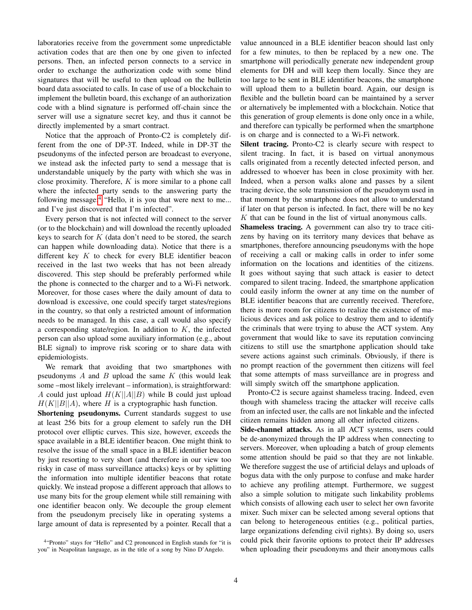laboratories receive from the government some unpredictable activation codes that are then one by one given to infected persons. Then, an infected person connects to a service in order to exchange the authorization code with some blind signatures that will be useful to then upload on the bulletin board data associated to calls. In case of use of a blockchain to implement the bulletin board, this exchange of an authorization code with a blind signature is performed off-chain since the server will use a signature secret key, and thus it cannot be directly implemented by a smart contract.

Notice that the approach of Pronto-C2 is completely different from the one of DP-3T. Indeed, while in DP-3T the pseudonyms of the infected person are broadcast to everyone, we instead ask the infected party to send a message that is understandable uniquely by the party with which she was in close proximity. Therefore,  $K$  is more similar to a phone call where the infected party sends to the answering party the following message:<sup>[4](#page-3-0)</sup> "Hello, it is you that were next to me... and I've just discovered that I'm infected".

Every person that is not infected will connect to the server (or to the blockchain) and will download the recently uploaded keys to search for  $K$  (data don't need to be stored, the search can happen while downloading data). Notice that there is a different key  $K$  to check for every BLE identifier beacon received in the last two weeks that has not been already discovered. This step should be preferably performed while the phone is connected to the charger and to a Wi-Fi network. Moreover, for those cases where the daily amount of data to download is excessive, one could specify target states/regions in the country, so that only a restricted amount of information needs to be managed. In this case, a call would also specify a corresponding state/region. In addition to  $K$ , the infected person can also upload some auxiliary information (e.g., about BLE signal) to improve risk scoring or to share data with epidemiologists.

We remark that avoiding that two smartphones with pseudonyms  $A$  and  $B$  upload the same  $K$  (this would leak some –most likely irrelevant – information), is straightforward: A could just upload  $H(K||A||B)$  while B could just upload  $H(K||B||A)$ , where H is a cryptographic hash function.

Shortening pseudonyms. Current standards suggest to use at least 256 bits for a group element to safely run the DH protocol over elliptic curves. This size, however, exceeds the space available in a BLE identifier beacon. One might think to resolve the issue of the small space in a BLE identifier beacon by just resorting to very short (and therefore in our view too risky in case of mass surveillance attacks) keys or by splitting the information into multiple identifier beacons that rotate quickly. We instead propose a different approach that allows to use many bits for the group element while still remaining with one identifier beacon only. We decouple the group element from the pseudonym precisely like in operating systems a large amount of data is represented by a pointer. Recall that a

value announced in a BLE identifier beacon should last only for a few minutes, to then be replaced by a new one. The smartphone will periodically generate new independent group elements for DH and will keep them locally. Since they are too large to be sent in BLE identifier beacons, the smartphone will upload them to a bulletin board. Again, our design is flexible and the bulletin board can be maintained by a server or alternatively be implemented with a blockchain. Notice that this generation of group elements is done only once in a while, and therefore can typically be performed when the smartphone is on charge and is connected to a Wi-Fi network.

Silent tracing. Pronto-C<sub>2</sub> is clearly secure with respect to silent tracing. In fact, it is based on virtual anonymous calls originated from a recently detected infected person, and addressed to whoever has been in close proximity with her. Indeed, when a person walks alone and passes by a silent tracing device, the sole transmission of the pseudonym used in that moment by the smartphone does not allow to understand if later on that person is infected. In fact, there will be no key  $K$  that can be found in the list of virtual anonymous calls.

Shameless tracing. A government can also try to trace citizens by having on its territory many devices that behave as smartphones, therefore announcing pseudonyms with the hope of receiving a call or making calls in order to infer some information on the locations and identities of the citizens. It goes without saying that such attack is easier to detect compared to silent tracing. Indeed, the smartphone application could easily inform the owner at any time on the number of BLE identifier beacons that are currently received. Therefore, there is more room for citizens to realize the existence of malicious devices and ask police to destroy them and to identify the criminals that were trying to abuse the ACT system. Any government that would like to save its reputation convincing citizens to still use the smartphone application should take severe actions against such criminals. Obviously, if there is no prompt reaction of the government then citizens will feel that some attempts of mass surveillance are in progress and will simply switch off the smartphone application.

Pronto-C2 is secure against shameless tracing. Indeed, even though with shameless tracing the attacker will receive calls from an infected user, the calls are not linkable and the infected citizen remains hidden among all other infected citizens.

Side-channel attacks. As in all ACT systems, users could be de-anonymized through the IP address when connecting to servers. Moreover, when uploading a batch of group elements some attention should be paid so that they are not linkable. We therefore suggest the use of artificial delays and uploads of bogus data with the only purpose to confuse and make harder to achieve any profiling attempt. Furthermore, we suggest also a simple solution to mitigate such linkability problems which consists of allowing each user to select her own favorite mixer. Such mixer can be selected among several options that can belong to heterogeneous entities (e.g., political parties, large organizations defending civil rights). By doing so, users could pick their favorite options to protect their IP addresses when uploading their pseudonyms and their anonymous calls

<span id="page-3-0"></span><sup>&</sup>lt;sup>4</sup>"Pronto" stays for "Hello" and C2 pronounced in English stands for "it is you" in Neapolitan language, as in the title of a song by Nino D'Angelo.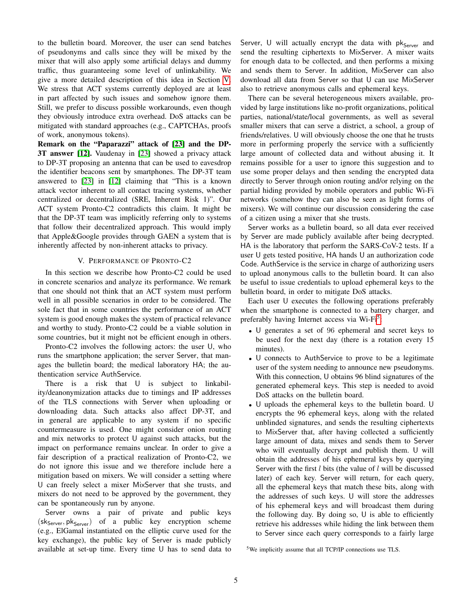to the bulletin board. Moreover, the user can send batches of pseudonyms and calls since they will be mixed by the mixer that will also apply some artificial delays and dummy traffic, thus guaranteeing some level of unlinkability. We give a more detailed description of this idea in Section [V.](#page-4-0) We stress that ACT systems currently deployed are at least in part affected by such issues and somehow ignore them. Still, we prefer to discuss possible workarounds, even though they obviously introduce extra overhead. DoS attacks can be mitigated with standard approaches (e.g., CAPTCHAs, proofs of work, anonymous tokens).

Remark on the "Paparazzi" attack of [\[23\]](#page-7-6) and the DP-3T answer [\[12\]](#page-7-10). Vaudenay in [\[23\]](#page-7-6) showed a privacy attack to DP-3T proposing an antenna that can be used to eavesdrop the identifier beacons sent by smartphones. The DP-3T team answered to [\[23\]](#page-7-6) in [\[12\]](#page-7-10) claiming that "This is a known attack vector inherent to all contact tracing systems, whether centralized or decentralized (SRE, Inherent Risk 1)". Our ACT system Pronto-C2 contradicts this claim. It might be that the DP-3T team was implicitly referring only to systems that follow their decentralized approach. This would imply that Apple&Google provides through GAEN a system that is inherently affected by non-inherent attacks to privacy.

# V. PERFORMANCE OF PRONTO-C2

<span id="page-4-0"></span>In this section we describe how Pronto-C2 could be used in concrete scenarios and analyze its performance. We remark that one should not think that an ACT system must perform well in all possible scenarios in order to be considered. The sole fact that in some countries the performance of an ACT system is good enough makes the system of practical relevance and worthy to study. Pronto-C2 could be a viable solution in some countries, but it might not be efficient enough in others.

Pronto-C2 involves the following actors: the user U, who runs the smartphone application; the server Server, that manages the bulletin board; the medical laboratory HA; the authentication service AuthService.

There is a risk that U is subject to linkability/deanonymization attacks due to timings and IP addresses of the TLS connections with Server when uploading or downloading data. Such attacks also affect DP-3T, and in general are applicable to any system if no specific countermeasure is used. One might consider onion routing and mix networks to protect U against such attacks, but the impact on performance remains unclear. In order to give a fair description of a practical realization of Pronto-C2, we do not ignore this issue and we therefore include here a mitigation based on mixers. We will consider a setting where U can freely select a mixer MixServer that she trusts, and mixers do not need to be approved by the government, they can be spontaneously run by anyone.

Server owns a pair of private and public keys  $(\text{sk}_{Server}, \text{pk}_{Server})$  of a public key encryption scheme (e.g., ElGamal instantiated on the elliptic curve used for the key exchange), the public key of Server is made publicly available at set-up time. Every time U has to send data to Server, U will actually encrypt the data with  $pk_{Server}$  and send the resulting ciphertexts to MixServer. A mixer waits for enough data to be collected, and then performs a mixing and sends them to Server. In addition, MixServer can also download all data from Server so that U can use MixServer also to retrieve anonymous calls and ephemeral keys.

There can be several heterogeneous mixers available, provided by large institutions like no-profit organizations, political parties, national/state/local governments, as well as several smaller mixers that can serve a district, a school, a group of friends/relatives. U will obviously choose the one that he trusts more in performing properly the service with a sufficiently large amount of collected data and without abusing it. It remains possible for a user to ignore this suggestion and to use some proper delays and then sending the encrypted data directly to Server through onion routing and/or relying on the partial hiding provided by mobile operators and public Wi-Fi networks (somehow they can also be seen as light forms of mixers). We will continue our discussion considering the case of a citizen using a mixer that she trusts.

Server works as a bulletin board, so all data ever received by Server are made publicly available after being decrypted. HA is the laboratory that perform the SARS-CoV-2 tests. If a user U gets tested positive, HA hands U an authorization code Code. AuthService is the service in charge of authorizing users to upload anonymous calls to the bulletin board. It can also be useful to issue credentials to upload ephemeral keys to the bulletin board, in order to mitigate DoS attacks.

Each user U executes the following operations preferably when the smartphone is connected to a battery charger, and preferably having Internet access via Wi-Fi<sup>[5](#page-4-1)</sup>:

- U generates a set of 96 ephemeral and secret keys to be used for the next day (there is a rotation every 15 minutes).
- U connects to AuthService to prove to be a legitimate user of the system needing to announce new pseudonyms. With this connection, U obtains 96 blind signatures of the generated ephemeral keys. This step is needed to avoid DoS attacks on the bulletin board.
- U uploads the ephemeral keys to the bulletin board. U encrypts the 96 ephemeral keys, along with the related unblinded signatures, and sends the resulting ciphertexts to MixServer that, after having collected a sufficiently large amount of data, mixes and sends them to Server who will eventually decrypt and publish them. U will obtain the addresses of his ephemeral keys by querying Server with the first  $l$  bits (the value of  $l$  will be discussed later) of each key. Server will return, for each query, all the ephemeral keys that match these bits, along with the addresses of such keys. U will store the addresses of his ephemeral keys and will broadcast them during the following day. By doing so, U is able to efficiently retrieve his addresses while hiding the link between them to Server since each query corresponds to a fairly large

<span id="page-4-1"></span><sup>5</sup>We implicitly assume that all TCP/IP connections use TLS.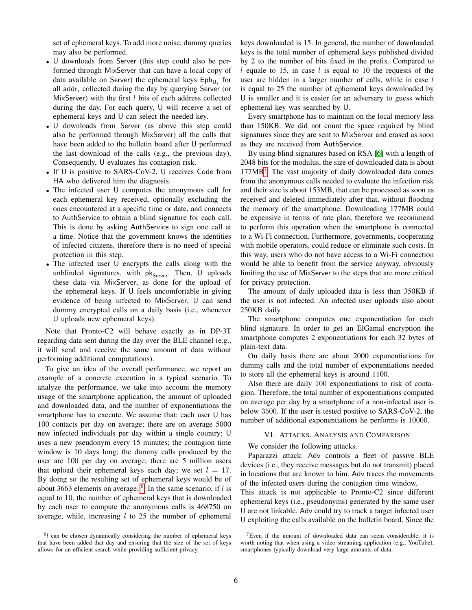set of ephemeral keys. To add more noise, dummy queries may also be performed.

- U downloads from Server (this step could also be performed through MixServer that can have a local copy of data available on Server) the ephemeral keys  $\mathsf{Eph}_{\mathsf{U}_i}$  for all addr<sub>i</sub> collected during the day by querying Server (or MixServer) with the first  $l$  bits of each address collected during the day. For each query, U will receive a set of ephemeral keys and U can select the needed key.
- U downloads from Server (as above this step could also be performed through MixServer) all the calls that have been added to the bulletin board after U performed the last download of the calls (e.g., the previous day). Consequently, U evaluates his contagion risk.
- If U is positive to SARS-CoV-2, U receives Code from HA who delivered him the diagnosis.
- The infected user U computes the anonymous call for each ephemeral key received, optionally excluding the ones encountered at a specific time or date, and connects to AuthService to obtain a blind signature for each call. This is done by asking AuthService to sign one call at a time. Notice that the government knows the identities of infected citizens, therefore there is no need of special protection in this step.
- The infected user U encrypts the calls along with the unblinded signatures, with  $pk_{Server}$ . Then, U uploads these data via MixServer, as done for the upload of the ephemeral keys. If U feels uncomfortable in giving evidence of being infected to MixServer, U can send dummy encrypted calls on a daily basis (i.e., whenever U uploads new ephemeral keys).

Note that Pronto-C2 will behave exactly as in DP-3T regarding data sent during the day over the BLE channel (e.g., it will send and receive the same amount of data without performing additional computations).

To give an idea of the overall performance, we report an example of a concrete execution in a typical scenario. To analyze the performance, we take into account the memory usage of the smartphone application, the amount of uploaded and downloaded data, and the number of exponentiations the smartphone has to execute. We assume that: each user U has 100 contacts per day on average; there are on average 5000 new infected individuals per day within a single country; U uses a new pseudonym every 15 minutes; the contagion time window is 10 days long; the dummy calls produced by the user are 100 per day on average; there are 5 million users that upload their ephemeral keys each day; we set  $l = 17$ . By doing so the resulting set of ephemeral keys would be of about 3[6](#page-5-0)63 elements on average.  $6$ . In the same scenario, if l is equal to 10, the number of ephemeral keys that is downloaded by each user to compute the anonymous calls is 468750 on average, while, increasing  $l$  to 25 the number of ephemeral

<span id="page-5-0"></span> $6l$  can be chosen dynamically considering the number of ephemeral keys that have been added that day and ensuring that the size of the set of keys allows for an efficient search while providing sufficient privacy.

keys downloaded is 15. In general, the number of downloaded keys is the total number of ephemeral keys published divided by 2 to the number of bits fixed in the prefix. Compared to l equale to 15, in case l is equal to 10 the requests of the user are hidden in a larger number of calls, while in case l is equal to 25 the number of ephemeral keys downloaded by U is smaller and it is easier for an adversary to guess which ephemeral key was searched by U.

Every smartphone has to maintain on the local memory less than 150KB. We did not count the space required by blind signatures since they are sent to MixServer and erased as soon as they are received from AuthService.

By using blind signatures based on RSA [\[6\]](#page-7-22) with a length of 2048 bits for the modulus, the size of downloaded data is about 177MB[7](#page-5-1) . The vast majority of daily downloaded data comes from the anonymous calls needed to evaluate the infection risk and their size is about 153MB, that can be processed as soon as received and deleted immediately after that, without flooding the memory of the smartphone. Downloading 177MB could be expensive in terms of rate plan, therefore we recommend to perform this operation when the smartphone is connected to a Wi-Fi connection. Furthermore, governments, cooperating with mobile operators, could reduce or eliminate such costs. In this way, users who do not have access to a Wi-Fi connection would be able to benefit from the service anyway, obviously limiting the use of MixServer to the steps that are more critical for privacy protection.

The amount of daily uploaded data is less than 350KB if the user is not infected. An infected user uploads also about 250KB daily.

The smartphone computes one exponentiation for each blind signature. In order to get an ElGamal encryption the smartphone computes 2 exponentiations for each 32 bytes of plain-text data.

On daily basis there are about 2000 exponentiations for dummy calls and the total number of exponentiations needed to store all the ephemeral keys is around 1100.

Also there are daily 100 exponentiations to risk of contagion. Therefore, the total number of exponentiations computed on average per day by a smartphone of a non-infected user is below 3500. If the user is tested positive to SARS-CoV-2, the number of additional exponentiations he performs is 10000.

### VI. ATTACKS, ANALYSIS AND COMPARISON

We consider the following attacks.

Paparazzi attack: Adv controls a fleet of passive BLE devices (i.e., they receive messages but do not transmit) placed in locations that are known to him. Adv traces the movements of the infected users during the contagion time window.

This attack is not applicable to Pronto-C2 since different ephemeral keys (i.e., pseudonyms) generated by the same user U are not linkable. Adv could try to track a target infected user U exploiting the calls available on the bulletin board. Since the

<span id="page-5-1"></span> $7$ Even if the amount of downloaded data can seem considerable, it is worth noting that when using a video streaming application (e.g., YouTube), smartphones typically download very large amounts of data.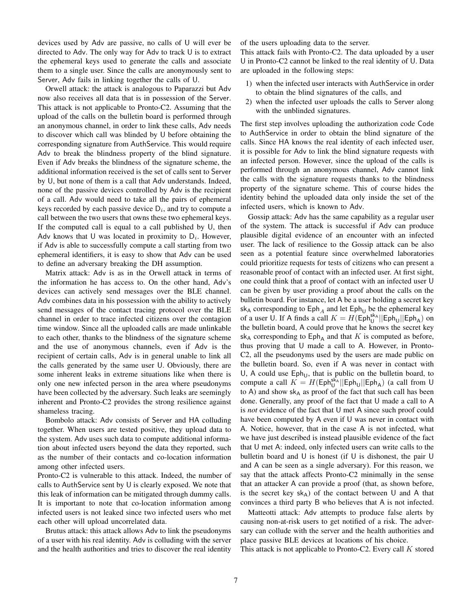devices used by Adv are passive, no calls of U will ever be directed to Adv. The only way for Adv to track U is to extract the ephemeral keys used to generate the calls and associate them to a single user. Since the calls are anonymously sent to Server, Adv fails in linking together the calls of U.

Orwell attack: the attack is analogous to Paparazzi but Adv now also receives all data that is in possession of the Server. This attack is not applicable to Pronto-C2. Assuming that the upload of the calls on the bulletin board is performed through an anonymous channel, in order to link these calls, Adv needs to discover which call was blinded by U before obtaining the corresponding signature from AuthService. This would require Adv to break the blindness property of the blind signature. Even if Adv breaks the blindness of the signature scheme, the additional information received is the set of calls sent to Server by U, but none of them is a call that Adv understands. Indeed, none of the passive devices controlled by Adv is the recipient of a call. Adv would need to take all the pairs of ephemeral keys recorded by each passive device  $D_i$ , and try to compute a call between the two users that owns these two ephemeral keys. If the computed call is equal to a call published by U, then Adv knows that U was located in proximity to  $D_i$ . However, if Adv is able to successfully compute a call starting from two ephemeral identifiers, it is easy to show that Adv can be used to define an adversary breaking the DH assumption.

Matrix attack: Adv is as in the Orwell attack in terms of the information he has access to. On the other hand, Adv's devices can actively send messages over the BLE channel. Adv combines data in his possession with the ability to actively send messages of the contact tracing protocol over the BLE channel in order to trace infected citizens over the contagion time window. Since all the uploaded calls are made unlinkable to each other, thanks to the blindness of the signature scheme and the use of anonymous channels, even if Adv is the recipient of certain calls, Adv is in general unable to link all the calls generated by the same user U. Obviously, there are some inherent leaks in extreme situations like when there is only one new infected person in the area where pseudonyms have been collected by the adversary. Such leaks are seemingly inherent and Pronto-C2 provides the strong resilience against shameless tracing.

Bombolo attack: Adv consists of Server and HA colluding together. When users are tested positive, they upload data to the system. Adv uses such data to compute additional information about infected users beyond the data they reported, such as the number of their contacts and co-location information among other infected users.

Pronto-C2 is vulnerable to this attack. Indeed, the number of calls to AuthService sent by U is clearly exposed. We note that this leak of information can be mitigated through dummy calls. It is important to note that co-location information among infected users is not leaked since two infected users who met each other will upload uncorrelated data.

Brutus attack: this attack allows Adv to link the pseudonyms of a user with his real identity. Adv is colluding with the server and the health authorities and tries to discover the real identity of the users uploading data to the server.

This attack fails with Pronto-C2. The data uploaded by a user U in Pronto-C2 cannot be linked to the real identity of U. Data are uploaded in the following steps:

- 1) when the infected user interacts with AuthService in order to obtain the blind signatures of the calls, and
- 2) when the infected user uploads the calls to Server along with the unblinded signatures.

The first step involves uploading the authorization code Code to AuthService in order to obtain the blind signature of the calls. Since HA knows the real identity of each infected user, it is possible for Adv to link the blind signature requests with an infected person. However, since the upload of the calls is performed through an anonymous channel, Adv cannot link the calls with the signature requests thanks to the blindness property of the signature scheme. This of course hides the identity behind the uploaded data only inside the set of the infected users, which is known to Adv.

Gossip attack: Adv has the same capability as a regular user of the system. The attack is successful if Adv can produce plausible digital evidence of an encounter with an infected user. The lack of resilience to the Gossip attack can be also seen as a potential feature since overwhelmed laboratories could prioritize requests for tests of citizens who can present a reasonable proof of contact with an infected user. At first sight, one could think that a proof of contact with an infected user U can be given by user providing a proof about the calls on the bulletin board. For instance, let A be a user holding a secret key sk<sub>A</sub> corresponding to  $Eph_A$  and let  $Eph_U$  be the ephemeral key of a user U. If A finds a call  $K = H(\mathsf{Eph}_U^{\mathsf{sk}_A}||\mathsf{Eph}_U||\mathsf{Eph}_A)$  on the bulletin board, A could prove that he knows the secret key  $sk_A$  corresponding to  $Eph_A$  and that K is computed as before, thus proving that U made a call to A. However, in Pronto-C2, all the pseudonyms used by the users are made public on the bulletin board. So, even if A was never in contact with U, A could use  $Eph_U$ , that is public on the bulletin board, to compute a call  $K = H(\text{Eph}_{U}^{s\bar{k}_{A}}||\text{Eph}_{U}||\text{Eph}_{A})$  (a call from U to A) and show  $sk_A$  as proof of the fact that such call has been done. Generally, any proof of the fact that U made a call to A is *not* evidence of the fact that U met A since such proof could have been computed by A even if U was never in contact with A. Notice, however, that in the case A is not infected, what we have just described is instead plausible evidence of the fact that U met A: indeed, only infected users can write calls to the bulletin board and U is honest (if U is dishonest, the pair U and A can be seen as a single adversary). For this reason, we say that the attack affects Pronto-C2 minimally in the sense that an attacker A can provide a proof (that, as shown before, is the secret key  $sk_A$ ) of the contact between U and A that convinces a third party B who believes that A is not infected.

Matteotti attack: Adv attempts to produce false alerts by causing non-at-risk users to get notified of a risk. The adversary can collude with the server and the health authorities and place passive BLE devices at locations of his choice.

This attack is not applicable to Pronto-C2. Every call  $K$  stored